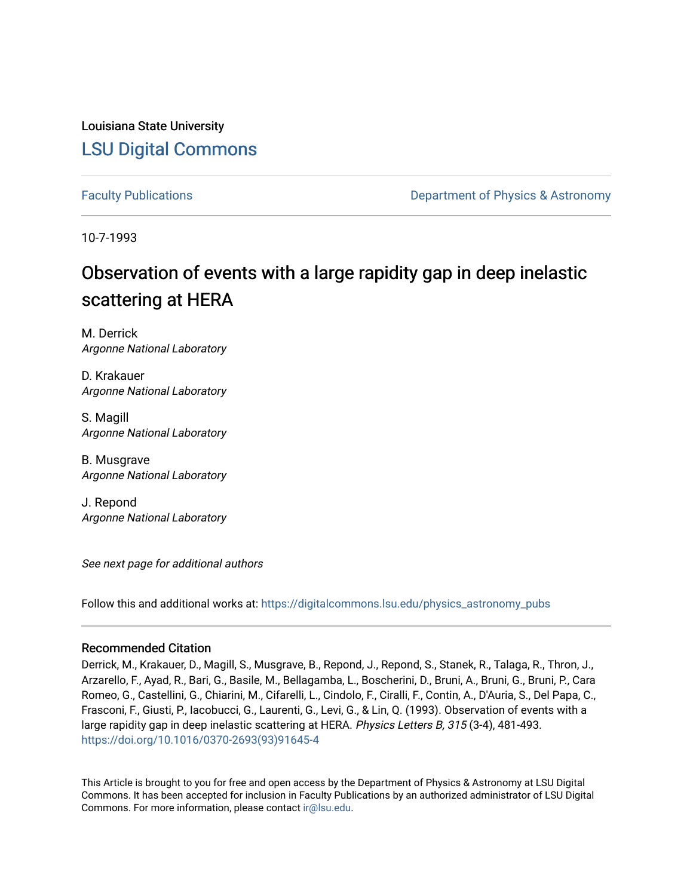Louisiana State University [LSU Digital Commons](https://digitalcommons.lsu.edu/)

[Faculty Publications](https://digitalcommons.lsu.edu/physics_astronomy_pubs) **Example 2** Constant Department of Physics & Astronomy

10-7-1993

# Observation of events with a large rapidity gap in deep inelastic scattering at HERA

M. Derrick Argonne National Laboratory

D. Krakauer Argonne National Laboratory

S. Magill Argonne National Laboratory

B. Musgrave Argonne National Laboratory

J. Repond Argonne National Laboratory

See next page for additional authors

Follow this and additional works at: [https://digitalcommons.lsu.edu/physics\\_astronomy\\_pubs](https://digitalcommons.lsu.edu/physics_astronomy_pubs?utm_source=digitalcommons.lsu.edu%2Fphysics_astronomy_pubs%2F3494&utm_medium=PDF&utm_campaign=PDFCoverPages) 

### Recommended Citation

Derrick, M., Krakauer, D., Magill, S., Musgrave, B., Repond, J., Repond, S., Stanek, R., Talaga, R., Thron, J., Arzarello, F., Ayad, R., Bari, G., Basile, M., Bellagamba, L., Boscherini, D., Bruni, A., Bruni, G., Bruni, P., Cara Romeo, G., Castellini, G., Chiarini, M., Cifarelli, L., Cindolo, F., Ciralli, F., Contin, A., D'Auria, S., Del Papa, C., Frasconi, F., Giusti, P., Iacobucci, G., Laurenti, G., Levi, G., & Lin, Q. (1993). Observation of events with a large rapidity gap in deep inelastic scattering at HERA. Physics Letters B, 315 (3-4), 481-493. [https://doi.org/10.1016/0370-2693\(93\)91645-4](https://doi.org/10.1016/0370-2693(93)91645-4)

This Article is brought to you for free and open access by the Department of Physics & Astronomy at LSU Digital Commons. It has been accepted for inclusion in Faculty Publications by an authorized administrator of LSU Digital Commons. For more information, please contact [ir@lsu.edu](mailto:ir@lsu.edu).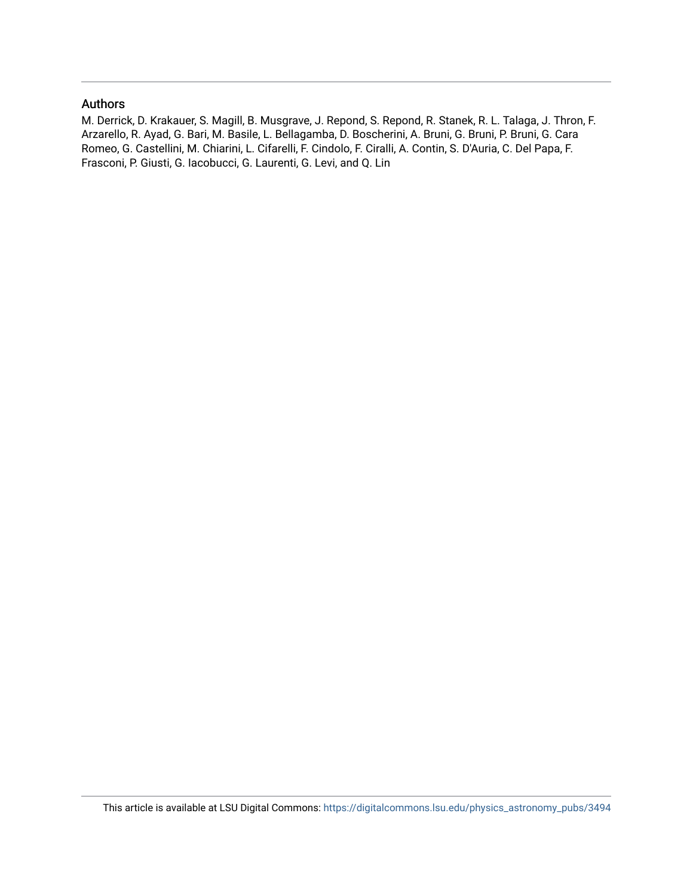### Authors

M. Derrick, D. Krakauer, S. Magill, B. Musgrave, J. Repond, S. Repond, R. Stanek, R. L. Talaga, J. Thron, F. Arzarello, R. Ayad, G. Bari, M. Basile, L. Bellagamba, D. Boscherini, A. Bruni, G. Bruni, P. Bruni, G. Cara Romeo, G. Castellini, M. Chiarini, L. Cifarelli, F. Cindolo, F. Ciralli, A. Contin, S. D'Auria, C. Del Papa, F. Frasconi, P. Giusti, G. Iacobucci, G. Laurenti, G. Levi, and Q. Lin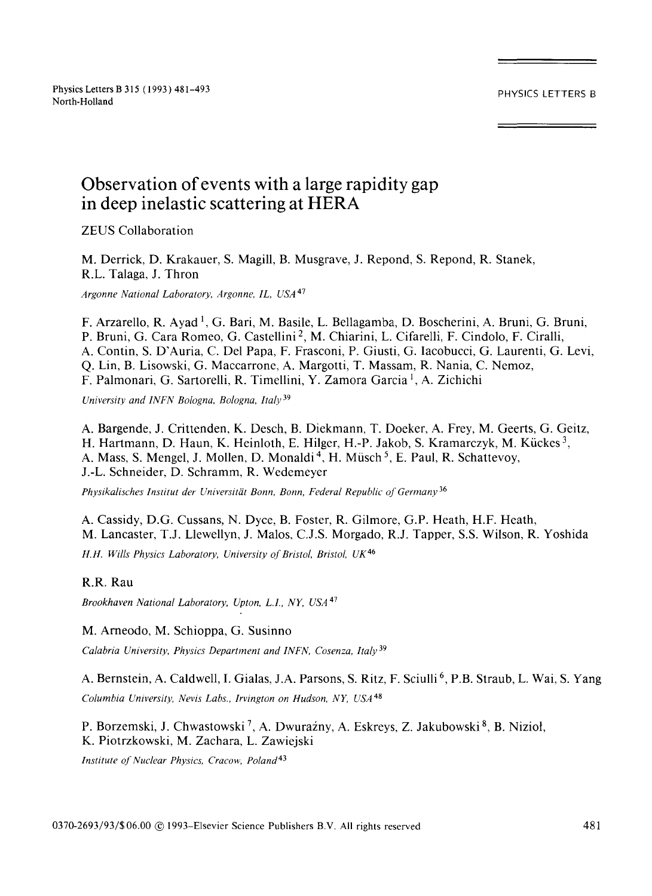## **Observation of events with a large rapidity gap in deep inelastic scattering at HERA**

ZEUS Collaboration

M. Derrick, D. Krakauer, S. Magill, B. Musgrave, J. Repond, S. Repond, R. Stanek, R.L. Talaga, J. Thron

*Argonne National Laboratory, Argonne, IL, USA* 47

F. Arzarello, R. Ayad<sup>1</sup>, G. Bari, M. Basile, L. Bellagamba, D. Boscherini, A. Bruni, G. Bruni, P. Bruni, G. Cara Romeo, G. Castellini 2, M. Chiarini, L. Cifarelli, F. Cindolo, F. Ciralli, A. Contin, S. D'Auria, C. Del Papa, F. Frasconi, P. Giusti, G. Iacobucci, G. Laurenti, G. Levi, Q. Lin, B. Lisowski, G. Maccarrone, A. Margotti, T. Massam, R. Nania, C. Nemoz, F. Palmonari, G. Sartorelli, R. Timellini, Y. Zamora Garcia l, A. Zichichi

*University and INFN Bologna, Bologna, Italy 39* 

A. Bargende, J. Crittenden, K. Desch, B. Diekmann, T. Doeker, A. Frey, M. Geerts, G. Geitz, H. Hartmann, D. Haun, K. Heinloth, E. Hilger, H.-P. Jakob, S. Kramarczyk, M. Kiickes 3, A. Mass, S. Mengel, J. Mollen, D. Monaldi<sup>4</sup>, H. Müsch<sup>5</sup>, E. Paul, R. Schattevoy, J.-L. Schneider, D. Schramm, R. Wedemeyer

*Physikalisches Institut der Universitiit Bonn, Bonn, Federal Republic of Germany* 36

A. Cassidy, D.G. Cussans, N. Dyce, B. Foster, R. Gilmore, G.P. Heath, H.F. Heath, M. Lancaster, T.J. Llewellyn, J. Malos, C.J.S. Morgado, R.J. Tapper, S.S. Wilson, R. Yoshida *H.H. Wills Physics Laboratory, University of Bristol, Bristol, UK 46* 

**R.R.** Rau

*Brookhaven National Laboratory, Upton, L.I., NY, USA* 47

M. Arneodo, M. Schioppa, G. Susinno *Calabria University, Physics Department and INFN, Cosenza, Italy* 39

A. Bernstein, A. Caldwell, I. Gialas, J.A. Parsons, S. Ritz, F. Sciulli<sup>6</sup>, P.B. Straub, L. Wai, S. Yang *Columbia University, Nevis Labs., Irvington on Hudson, NY, USA* 48

P. Borzemski, J. Chwastowski<sup>7</sup>, A. Dwuraźny, A. Eskreys, Z. Jakubowski<sup>8</sup>, B. Nizioł, K. Piotrzkowski, M. Zachara, L. Zawiejski

*Institute of Nuclear Physics, Cracow, Poland 43*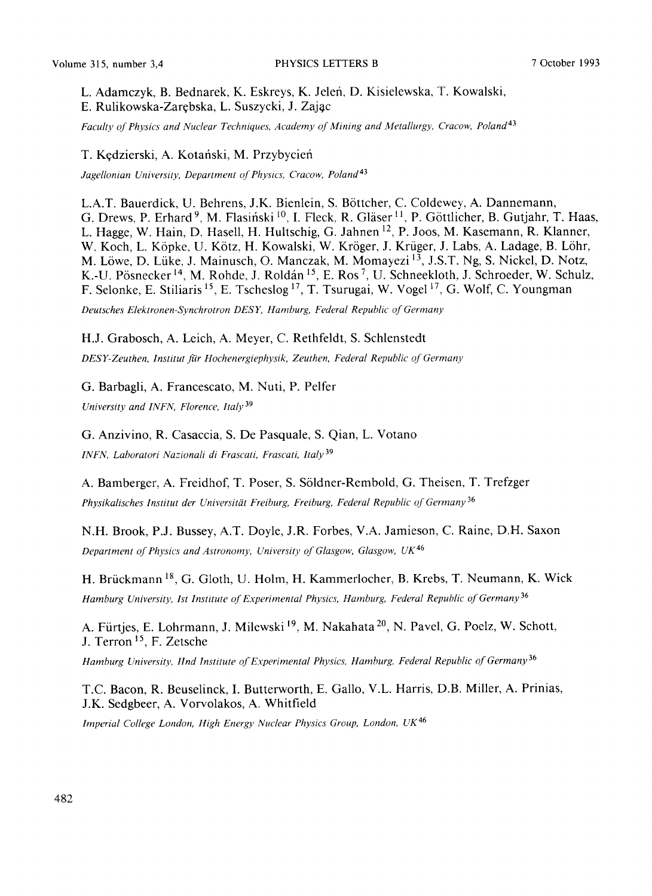L. Adamczyk, B. Bednarek, K. Eskreys, K. Jelefi, D. Kisielewska, T. Kowalski, E. Rulikowska-Zarebska, L. Suszycki, J. Zajac

Faculty of Physics and Nuclear Techniques, Academy of Mining and Metallurgy, Cracow, Poland<sup>43</sup>

#### T. Kędzierski, A. Kotański, M. Przybycień

*Jagellonian University, Department of Physics, Cracow, Poland 43* 

L.A.T. Bauerdick, U. Behrens, J.K. Bienlein, S. B6ttcher, C. Coldewey, A. Dannemann, G. Drews, P. Erhard<sup>9</sup>, M. Flasiński <sup>10</sup>, I. Fleck, R. Gläser <sup>11</sup>, P. Göttlicher, B. Gutjahr, T. Haas, L. Hagge, W. Hain, D. Hasell, H. Hultschig, G. Jahnen 12, p. Joos, M. Kasemann, R. Klanner, W. Koch, L. Köpke, U. Kötz, H. Kowalski, W. Kröger, J. Krüger, J. Labs, A. Ladage, B. Löhr, M. Löwe, D. Lüke, J. Mainusch, O. Manczak, M. Momayezi<sup>13</sup>, J.S.T. Ng, S. Nickel, D. Notz, K.-U. Pösnecker <sup>14</sup>, M. Rohde, J. Roldán <sup>15</sup>, E. Ros <sup>7</sup>, U. Schneekloth, J. Schroeder, W. Schulz, F. Selonke, E. Stiliaris 15, E. Tscheslog 17, T. Tsurugai, W. Vogel 17, G. Wolf, C. Youngman *Deutsches Elektronen-Synchrotron DESE Hamburg, Federal Republic of Germany* 

#### H.J. Grabosch, A. Leich, A. Meyer, C. Rethfeldt, S. Schlenstedt

*DESY-Zeuthen, Institut fiir Hochenergiephysik, Zeuthen, Federal Republic of Germany* 

G. Barbagli, A. Francescato, M. Nuti, P. Pelfer *University and INFN, Florence, Italy 39* 

G. Anzivino, R. Casaccia, S. De Pasquale, S. Qian, L. Votano *INFN, Laboratori Nazionali di Frascati, Frascati, Italy* 39

A. Bamberger, A. Freidhof, T. Poser, S. S61dner-Rembold, G. Theisen, T. Trefzger

*Physikalisches Institut der Universitgit Freiburg, Freiburg, Federal Republic of Germany* 36

N.H. Brook, P.J. Bussey, A.T. Doyle, J.R. Forbes, V.A. Jamieson, C. Raine, D.H. Saxon *Department of Physics and Astronomy, University of Glasgow, Glasgow,* UK 46

H. Brückmann <sup>18</sup>, G. Gloth, U. Holm, H. Kammerlocher, B. Krebs, T. Neumann, K. Wick *Hamburg University, 1st Institute of Experimental Physics, Hamburg, Federal Republic of Germany* 36

A. Fürtjes, E. Lohrmann, J. Milewski <sup>19</sup>, M. Nakahata <sup>20</sup>, N. Pavel, G. Poelz, W. Schott, J. Terron 15, F. Zetsche

Hamburg University, *Hnd Institute of Experimental Physics, Hamburg, Federal Republic of Germany* 36

T.C. Bacon, R. Beuselinck, I. Butterworth, E. Gallo, V.L. Harris, D.B. Miller, A. Prinias, J.K. Sedgbeer, A. Vorvolakos, A. Whitfield

*Imperial College London, High Energy Nuclear Physics Group, London,* UK 46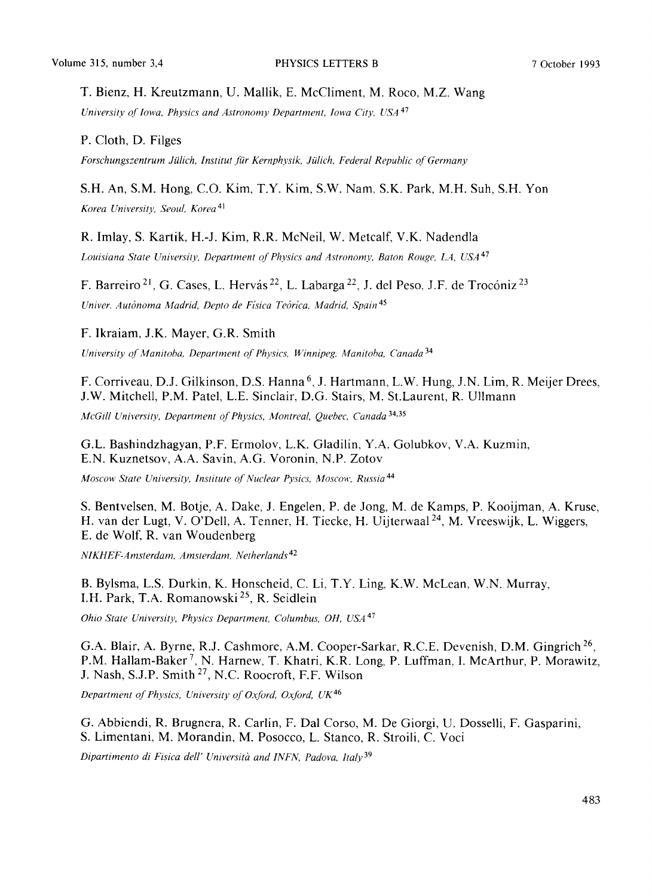#### T. Bienz, H. Kreutzmann, U. Mallik, E. McCliment, M. Roco, M.Z. Wang

*University of lowa, Physics and Astronomy Department, Iowa City, USA* 47

P. Cloth, D. Filges

*Forschungszentrum Jiilich, lnstitut fiir Kernphysik, Jiilich. Federal Republic of Germany* 

#### S.H. An, S.M. Hong, C.O. Kim, T.Y. Kim, S.W. Nam, S.K. Park, M.H. Suh, S.H. Yon

*Korea University, Seou[, Korea 4]* 

R. Imlay, S. Kartik, H.-J. Kim, R.R. McNeil, W. Metcalf, V.K. Nadendla

Louisiana State University, Department of Physics and Astronomy, Baton Rouge, LA, USA<sup>47</sup>

F. Barreiro <sup>21</sup>, G. Cases, L. Hervás <sup>22</sup>, L. Labarga <sup>22</sup>, J. del Peso, J.F. de Trocóniz <sup>23</sup> *Univer. Aut6noma Madrid, Depto de Fisica Te6rlca, Madrid, Spain 45* 

F. Ikraiam, J.K. Mayer, G.R. Smith

*University of Manitoba, Department of Physics, Winnipeg, Manitoba, Canada 34* 

F. Corriveau, D.J. Gilkinson, D.S. Hanna<sup>6</sup>, J. Hartmann, L.W. Hung, J.N. Lim, R. Meijer Drees, J.W. Mitchell, P.M. Patel, L.E. Sinclair, D.G. Stairs, M. St.Laurent, R. Ullmann

*McGill University, Department of Physics, Montreal, Quebec, Canada* 34,35

G.L. Bashindzhagyan, P.F. Ermolov, L.K. Gladilin, Y.A. Golubkov, V.A. Kuzmin, E.N. Kuznetsov, *A.A.* Savin, A.G. Voronin, N.P. Zotov

*Moscow State University, Institute of Nuclear Pysics, Moscow, Russia 44* 

S. Bentvelsen, M. Botje, A. Dake, J. Engelen, P. de Jong, M. de Kamps, P. Kooijman, A. Kruse, H. van der Lugt, V. O'Dell, A. Tenner, H. Tiecke, H. Uijterwaal<sup>24</sup>, M. Vreeswijk, L. Wiggers, E. de Wolf, R. van Woudenberg

*N1KHEF-Amsterdam, Amsterdam, Netherlands 42* 

B. Bylsma, L.S. Durkin, K. Honscheid, C. Li, T.Y. Ling, K.W. McLean, W.N. Murray, I.H. Park, T.A. Romanowski<sup>25</sup>, R. Seidlein

*Ohio State University, Physics Department, Columbus, OH, USA* 47

G.A. Blair, A. Byrne, R.J. Cashmore, A.M. Cooper-Sarkar, R.C.E. Devenish, D.M. Gingrich 26, P.M. Hallam-Baker<sup>7</sup>, N. Harnew, T. Khatri, K.R. Long, P. Luffman, I. McArthur, P. Morawitz, J. Nash, S.J.P. Smith 27, N.C. Roocroft, F.F. Wilson

*Department of Physics, University of Oxford, Oxford, UK 46* 

G. Abbiendi, R. Brugnera, R. Carlin, F. Dal Corso, M. De Giorgi, U. Dosselli, F. Gasparini, S. Limentani, M. Morandin, M. Posocco, L. Stanco, R. Stroili, C. Voci

*Dipartimento di Fisica dell" Universita and INFN, Padova, ltaly 39*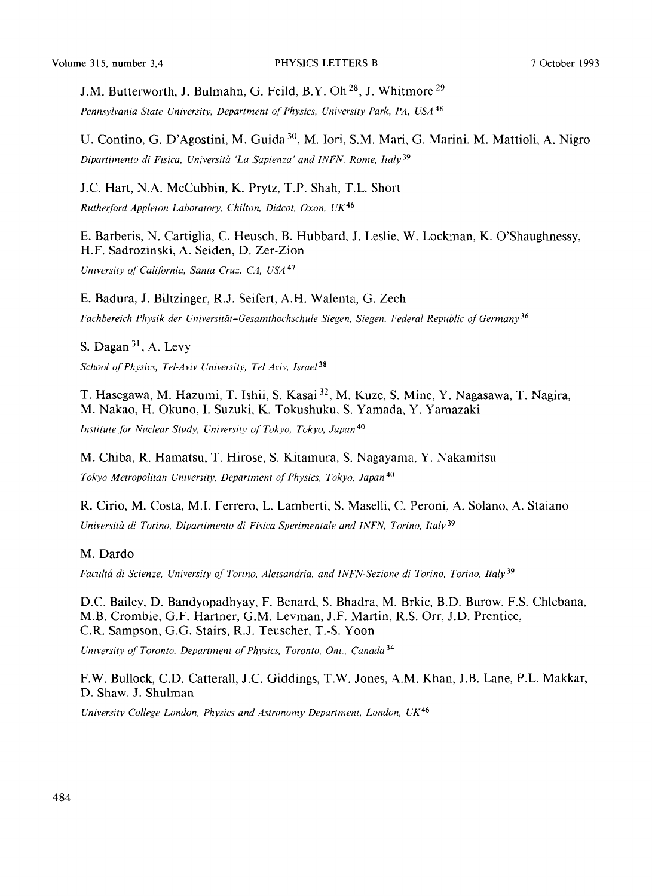J.M. Butterworth, J. Bulmahn, G. Feild, B.Y. Oh<sup>28</sup>, J. Whitmore<sup>29</sup>

*Pennsylvania State University, Department of Physics, University Park, PA, USA* 48

U. Contino, G. D'Agostini, M. Guida 30, M. Iori, S.M. Marl, G. Marini, M. Mattioli, A. Nigro *Dipartimento di Fisica, Universiffz 'La Sapienza" and INFN, Rome, Italy* 39

J.C. Hart, N.A. McCubbin, K. Prytz, T.P. Shah, T.L. Short *Rutherford Appleton Laboratory, Chilton, Didcot, Oxon, UK 46* 

E. Barberis, N. Cartiglia, C. Heusch, B. Hubbard, J. Leslie, W. Lockman, K. O'Shaughnessy, H.F. Sadrozinski, A. Seiden, D. Zer-Zion

*University of California, Santa Cruz, CA, USA* 47

E. Badura, J. Biltzinger, R.J. Seifert, A.H. Walenta, G. Zech

*Fachbereich Physik der Universitgit-Gesamthochschule Siegen, Siegen, Federal Republic of Germany* 36

S. Dagan 31, A. Levy

*School of Physics, Tel-Aviv University, Tel Aviv, Israel 38* 

T. Hasegawa, M. Hazumi, T. Ishii, S. Kasai 32, M. Kuze, S. Mine, Y. Nagasawa, T. Nagira, M. Nakao, H. Okuno, I. Suzuki, K. Tokushuku, S. Yamada, Y. Yamazaki

*Institute for Nuclear Study, University of Tokyo, Tokyo, Japan 4°* 

M. Chiba, R. Hamatsu, T. Hirose, S. Kitamura, S. Nagayama, Y. Nakamitsu *Tokyo Metropolitan University, Department of Physics, Tokyo, Japan 4°* 

R. Cirio, M. Costa, M.I. Ferrero, L. Lamberti, S. Maselli, C. Peroni, A. Solano, A. Staiano Università di Torino, Dipartimento di Fisica Sperimentale and INFN, Torino, Italy<sup>39</sup>

#### M. Dardo

*Facultd di Scienze, University of Torino, Alessandria, and INFN-Sezione di Torino, Torino, Italy 39* 

D.C. Bailey, D. Bandyopadhyay, F. Benard, S. Bhadra, M. Brkic, B.D. Burow, F.S. Chlebana, M.B. Crombie, G.F. Hartner, G.M. Levman, J.F. Martin, R.S. Orr, J.D. Prentice, C.R. Sampson, G.G. Stairs, R.J. Teuscher, T.-S. Yoon

*University of Toronto, Department of Physics, Toronto, Ont., Canada* 34

F.W. Bullock, C.D. Catterall, J.C. Giddings, T.W. Jones, A.M. Khan, J.B. Lane, P.L. Makkar, D. Shaw, J. Shulman

*University College London, Physics and Astronomy Department, London, UK*<sup>46</sup>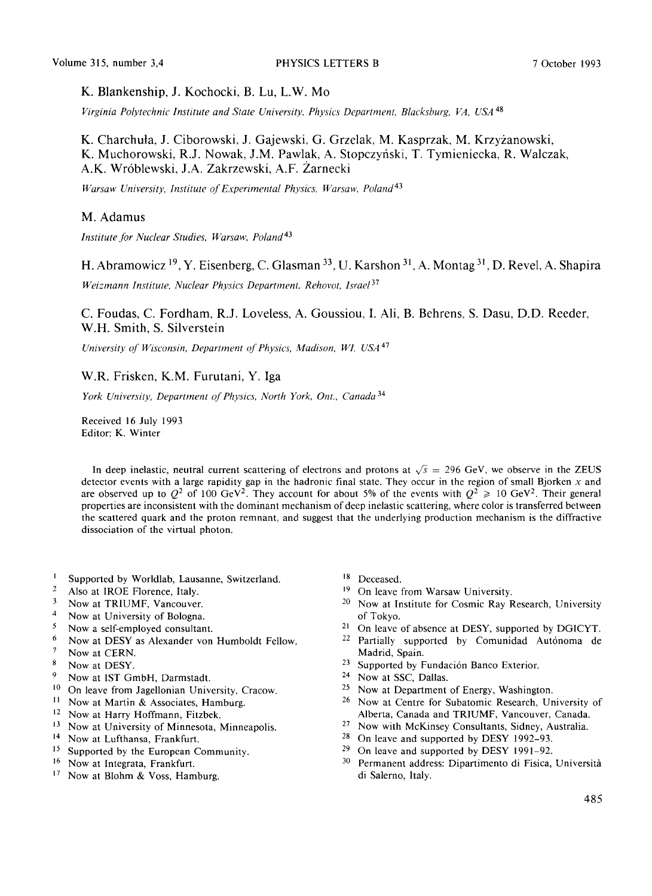Volume 315, number 3,4 PHYSICS LETTERS B 7 October 1993

K. Blankenship, J. Kochocki, B. Lu, L.W. Mo

*Virginia Polytechnic Institute and State University, Physics Department, Blacksburg, VA, USA* 48

K. Charchuta, J. Ciborowski, J. Gajewski, G. Grzelak, M. Kasprzak, M. Krzyzanowski, K. Muchorowski, R.J. Nowak, J.M. Pawlak, A. Stopczyfiski, T. Tymieniecka, R. Walczak, A.K. Wr6blewski, J.A. Zakrzewski, A.F. Zarnecki

*Warsaw University, Institute of Experimental Physics, Warsaw, Poland 43* 

#### M. Adamus

*Institute for Nuclear Studies, Warsaw, Poland 43* 

H. Abramowicz <sup>19</sup>, Y. Eisenberg, C. Glasman  $^{33}$ , U. Karshon  $^{31}$ , A. Montag  $^{31}$ , D. Revel, A. Shapira

*Weizmann Institute, Nuclear Physics Department, Rehovot, Israel 37* 

C. Foudas, C. Fordham, R.J. Loveless, A. Goussiou, I. Ali, B. Behrens, S. Dasu, D.D. Reeder, W.H. Smith, S. Silverstein

*University of Wisconsin, Department of Physics, Madison, W1, USA* 47

### W.R. Frisken, K.M. Furutani, Y. Iga

*York University, Department of Physics, North York, Ont., Canada* 34

Received 16 July 1993 Editor: K. Winter

In deep inelastic, neutral current scattering of electrons and protons at  $\sqrt{s}$  = 296 GeV, we observe in the ZEUS detector events with a large rapidity gap in the hadronic final state. They occur in the region of small Bjorken  $x$  and are observed up to  $Q^2$  of 100 GeV<sup>2</sup>. They account for about 5% of the events with  $Q^2 \ge 10$  GeV<sup>2</sup>. Their general properties are inconsistent with the dominant mechanism of deep inelastic scattering, where color is transferred between the scattered quark and the proton remnant, and suggest that the underlying production mechanism is the diffractive dissociation of the virtual photon.

- <sup>1</sup> Supported by Worldlab, Lausanne, Switzerland.<br> $\frac{2}{3}$  Also at IBOE Elamnes, Italy
- <sup>2</sup> Also at IROE Florence, Italy.<br><sup>3</sup> Now at TRHIME Vancouver
- $3$  Now at TRIUMF, Vancouver.<br> $4$  Now at University of Bologna
- <sup>4</sup> Now at University of Bologna.<br> $\frac{5}{2}$  Now a self-employed consultant
- $5$  Now a self-employed consultant.
- <sup>6</sup> Now at DESY as Alexander von Humboldt Fellow.
- $^7$  Now at CERN.<br>8 Now at DESV
- Now at DESY.
- 9 Now at IST GmbH, Darmstadt.
- $10$  On leave from Jagellonian University, Cracow.
- <sup>11</sup> Now at Martin & Associates, Hamburg.
- 12 Now at Harry Hoffmann, Fitzbek.
- 13 Now at University of Minnesota, Minneapolis.
- 14 Now at Lufthansa, Frankfurt.
- 15 Supported by the European Community.
- 16 Now at Integrata, Frankfurt.
- 17 Now at Blohm & Voss, Hamburg.
- Deceased.
- <sup>19</sup> On leave from Warsaw University.
- Now at Institute for Cosmic Ray Research, University of Tokyo.
- 21 On leave of absence at DESY, supported by DGICYT.
- 22 Partially supported by Comunidad Aut6noma de Madrid, Spain.
- <sup>23</sup> Supported by Fundación Banco Exterior.
- 24 Now at SSC, Dallas.
- 25 Now at Department of Energy, Washington.
- 26 Now at Centre for Subatomic Research, University of Alberta, Canada and TRIUMF, Vancouver, Canada.
- 27 Now with McKinsey Consultants, Sidney, Australia.
- 28 On leave and supported by DESY 1992-93.
- $29$  On leave and supported by DESY 1991-92.
- 30 Permanent address: Dipartimento di Fisica, Università di Salerno, Italy.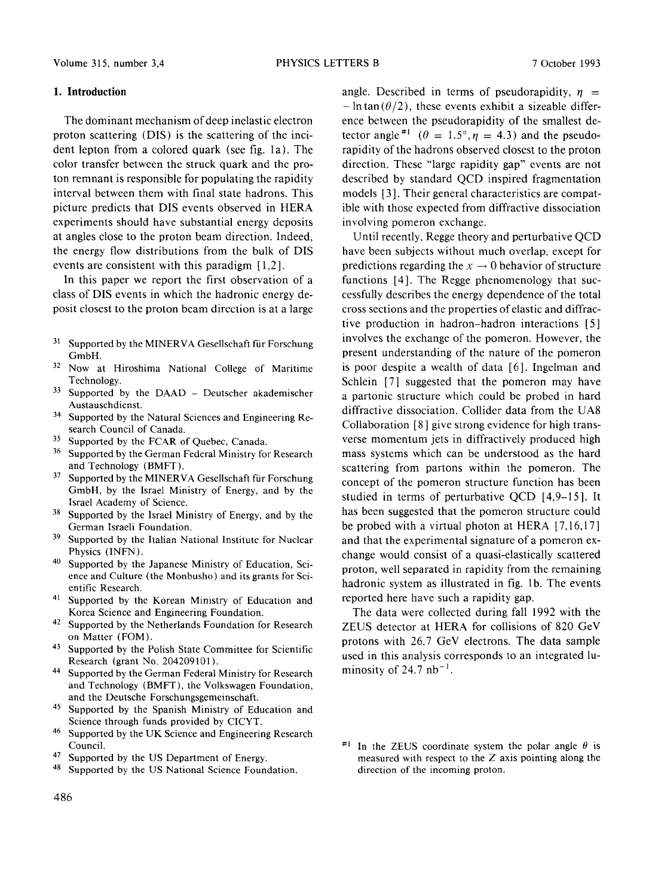#### **1. Introduction**

The dominant mechanism of deep inelastic electron proton scattering (DIS) is the scattering of the incident lepton from a colored quark (see fig. la). The color transfer between the struck quark and the proton remnant is responsible for populating the rapidity interval between them with final state hadrons. This picture predicts that DIS events observed in HERA experiments should have substantial energy deposits at angles close to the proton beam direction. Indeed, the energy flow distributions from the bulk of DIS events are consistent with this paradigm [1,2].

In this paper we report the first observation of a class of DIS events in which the hadronic energy deposit closest to the proton beam direction is at a large

- <sup>31</sup> Supported by the MINERVA Gesellschaft für Forschung GmbH.
- 32 Now at Hiroshima National College of Maritime Technology.
- <sup>33</sup> Supported by the DAAD Deutscher akademischer Austauschdienst.
- <sup>34</sup> Supported by the Natural Sciences and Engineering Research Council of Canada.
- <sup>35</sup> Supported by the FCAR of Quebec, Canada.
- <sup>36</sup> Supported by the German Federal Ministry for Research and Technology (BMFT).
- <sup>37</sup> Supported by the MINERVA Gesellschaft für Forschung GmbH, by the Israel Ministry of Energy, and by the Israel Academy of Science.
- <sup>38</sup> Supported by the Israel Ministry of Energy, and by the German Israeli Foundation.
- <sup>39</sup> Supported by the Italian National Institute for Nuclear Physics (INFN).
- <sup>40</sup> Supported by the Japanese Ministry of Education, Science and Culture (the Monbusho) and its grants for Scientific Research.
- 41 Supported by the Korean Ministry of Education and Korea Science and Engineering Foundation.
- <sup>42</sup> Supported by the Netherlands Foundation for Research on Matter (FOM).
- 43 Supported by the Polish State Committee for Scientific Research (grant No. 204209101 ).
- 44 Supported by the German Federal Ministry for Research and Technology (BMFT), the Volkswagen Foundation, and the Deutsche Forschungsgemeinschaft.
- 45 Supported by the Spanish Ministry of Education and Science through funds provided by CICYT.
- <sup>46</sup> Supported by the UK Science and Engineering Research Council.
- <sup>47</sup> Supported by the US Department of Energy.
- 48 Supported by the US National Science Foundation.

angle. Described in terms of pseudorapidity,  $\eta$  =  $-\ln \tan(\theta/2)$ , these events exhibit a sizeable difference between the pseudorapidity of the smallest detector angle <sup>#1</sup> ( $\theta = 1.5^{\circ}, \eta = 4.3$ ) and the pseudorapidity of the hadrons observed closest to the proton direction. These "large rapidity gap" events are not described by standard QCD inspired fragmentation models [3]. Their general characteristics are compatible with those expected from diffractive dissociation involving pomeron exchange.

Until recently, Regge theory and perturbative QCD have been subjects without much overlap, except for predictions regarding the  $x \to 0$  behavior of structure functions [4]. The Regge phenomenology that successfully describes the energy dependence of the total cross sections and the properties of elastic and diffractive production in hadron-hadron interactions [5] involves the exchange of the pomeron. However, the present understanding of the nature of the pomeron is poor despite a wealth of data [6]. Ingelman and Schlein [7] suggested that the pomeron may have a partonic structure which could be probed in hard diffractive dissociation. Collider data from the UA8 Collaboration [8] give strong evidence for high transverse momentum jets in diffractively produced high mass systems which can be understood as the hard scattering from partons within the pomeron. The concept of the pomeron structure function has been studied in terms of perturbative QCD [4,9-15]. It has been suggested that the pomeron structure could be probed with a virtual photon at HERA [7,16,17] and that the experimental signature of a pomeron exchange would consist of a quasi-elastically scattered proton, well separated in rapidity from the remaining hadronic system as illustrated in fig. lb. The events reported here have such a rapidity gap.

The data were collected during fall 1992 with the ZEUS detector at HERA for collisions of 820 GeV protons with 26.7 GeV electrons. The data sample used in this analysis corresponds to an integrated luminosity of  $24.7$  nb<sup>-1</sup>.

<sup>#1</sup> In the ZEUS coordinate system the polar angle  $\theta$  is measured with respect to the Z axis pointing along the direction of the incoming proton.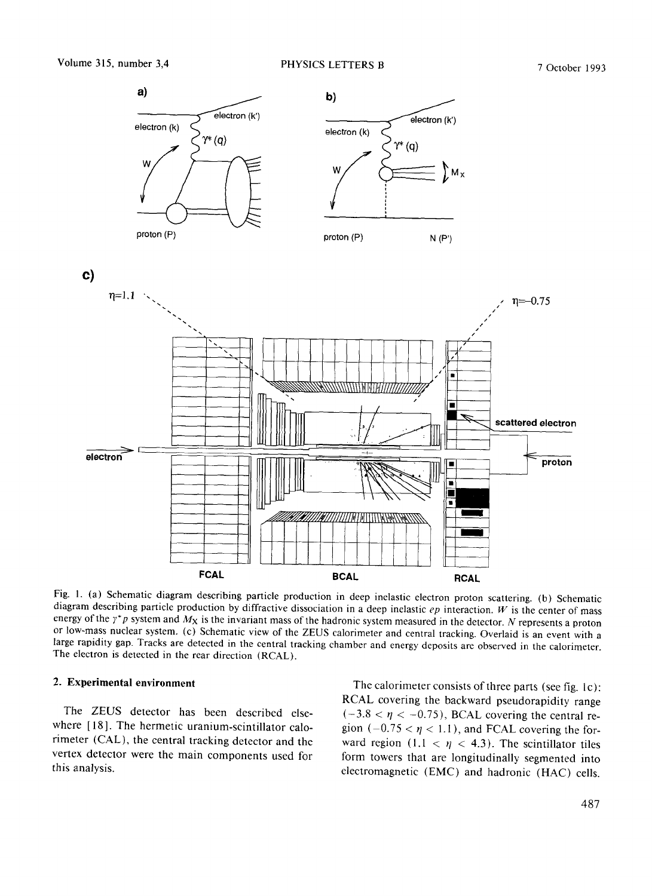

Fig. I. (a) *Schematic* diagram describing particle production in deep inelastic electron proton scattering. (b) Schematic diagram describing particle production by diffractive dissociation in a deep inelastic *ep* interaction. W is the center of mass energy of the  $\gamma^*p$  system and  $M_X$  is the invariant mass of the hadronic system measured in the detector. N represents a proton or low-mass nuclear system. (c) Schematic view of the ZEUS calorimeter and central tracking. Overlaid is an event with a large rapidity gap. Tracks are detected in the central tracking chamber and energy deposits are observed in the calorimeter. The electron is detected in the rear direction (REAL).

#### **2. Experimental environment**

The ZEUS detector has been described elsewhere [18]. The hermetic uranium-scintillator calorimeter (CAL), the central tracking detector and the vertex detector were the main components used for this analysis.

The calorimeter consists of three parts (see fig. lc): RCAL covering the backward pseudorapidity range  $(-3.8 < \eta < -0.75)$ , BCAL covering the central region (-0.75  $< \eta$  < 1.1), and FCAL covering the forward region  $(1.1 < \eta < 4.3)$ . The scintillator tiles form towers that are longitudinally segmented into electromagnetic (EMC) and hadronic (HAC) cells.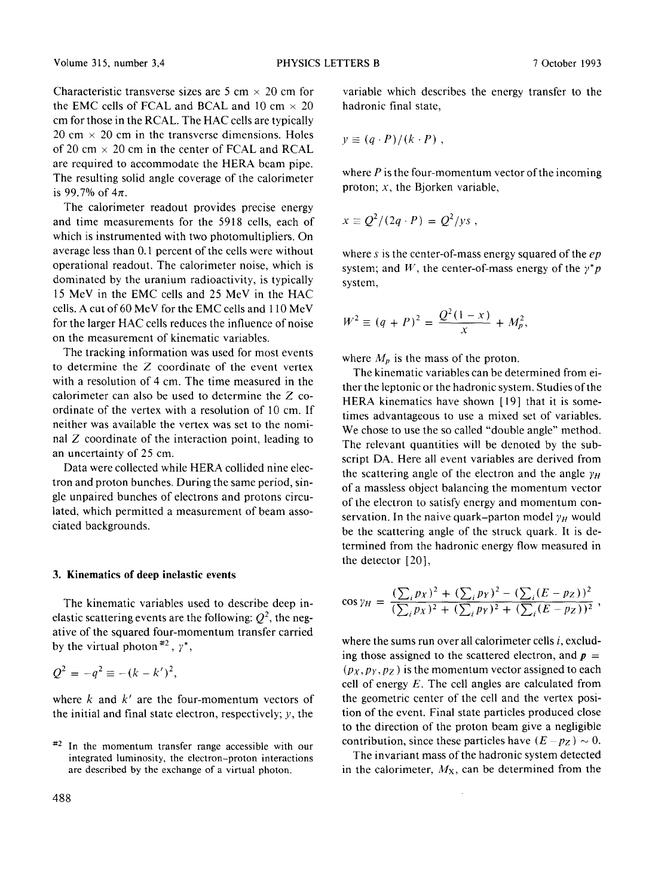Characteristic transverse sizes are 5 cm  $\times$  20 cm for the EMC cells of FCAL and BCAL and 10 cm  $\times$  20 cm for those in the RCAL. The HAC cells are typically  $20 \text{ cm} \times 20 \text{ cm}$  in the transverse dimensions. Holes of 20 cm  $\times$  20 cm in the center of FCAL and RCAL are required to accommodate the HERA beam pipe. The resulting solid angle coverage of the calorimeter is 99.7% of  $4\pi$ .

The calorimeter readout provides precise energy and time measurements for the 5918 cells, each of which is instrumented with two photomultipliers. On average less than 0.1 percent of the cells were without operational readout. The calorimeter noise, which is dominated by the uranium radioactivity, is typically 15 MeV in the EMC cells and 25 MeV in the HAC cells. A cut of 60 MeV for the EMC cells and 110 MeV for the larger HAC cells reduces the influence of noise on the measurement of kinematic variables.

The tracking information was used for most events to determine the Z coordinate of the event vertex with a resolution of 4 cm. The time measured in the calorimeter can also be used to determine the Z coordinate of the vertex with a resolution of 10 cm. If neither was available the vertex was set to the nominal Z coordinate of the interaction point, leading to an uncertainty of 25 cm.

Data were collected while HERA collided nine electron and proton bunches. During the same period, single unpaired bunches of electrons and protons circulated, which permitted a measurement of beam associated backgrounds.

#### **3. Kinematics of deep inelastic events**

The kinematic variables used to describe deep inelastic scattering events are the following:  $Q^2$ , the negative of the squared four-momentum transfer carried by the virtual photon<sup>#2</sup>,  $\gamma^*$ ,

$$
Q^2=-q^2\equiv -(k-k')^2,
$$

where  $k$  and  $k'$  are the four-momentum vectors of the initial and final state electron, respectively;  $y$ , the

variable which describes the energy transfer to the hadronic final state,

$$
y \equiv (q \cdot P)/(k \cdot P) ,
$$

where  $P$  is the four-momentum vector of the incoming proton;  $x$ , the Bjorken variable,

$$
x \equiv Q^2/(2q \cdot P) = Q^2/ys,
$$

where s is the center-of-mass energy squared of the *ep*  system; and W, the center-of-mass energy of the  $\gamma^* p$ system,

$$
W^{2} \equiv (q + P)^{2} = \frac{Q^{2}(1 - x)}{x} + M_{p}^{2},
$$

where  $M_p$  is the mass of the proton.

The kinematic variables can be determined from either the leptonic or the hadronic system. Studies of the HERA kinematics have shown [19] that it is sometimes advantageous to use a mixed set of variables. We chose to use the so called "double angle" method. The relevant quantities will be denoted by the subscript DA. Here all event variables are derived from the scattering angle of the electron and the angle  $\gamma_H$ of a massless object balancing the momentum vector of the electron to satisfy energy and momentum conservation. In the naive quark-parton model  $\gamma_H$  would be the scattering angle of the struck quark. It is determined from the hadronic energy flow measured in the detector [20],

$$
\cos \gamma_H = \frac{(\sum_i p_X)^2 + (\sum_i p_Y)^2 - (\sum_i (E - p_Z))^2}{(\sum_i p_X)^2 + (\sum_i p_Y)^2 + (\sum_i (E - p_Z))^2},
$$

where the sums run over all calorimeter cells  $i$ , excluding those assigned to the scattered electron, and  $p =$  $(p_X, p_Y, p_Z)$  is the momentum vector assigned to each cell of energy  $E$ . The cell angles are calculated from the geometric center of the cell and the vertex position of the event. Final state particles produced close to the direction of the proton beam give a negligible contribution, since these particles have  $(E - p_Z) \sim 0$ .

The invariant mass of the hadronic system detected in the calorimeter,  $M_X$ , can be determined from the

 $*2$  In the momentum transfer range accessible with our integrated luminosity, the electron-proton interactions are described by the exchange of a virtual photon.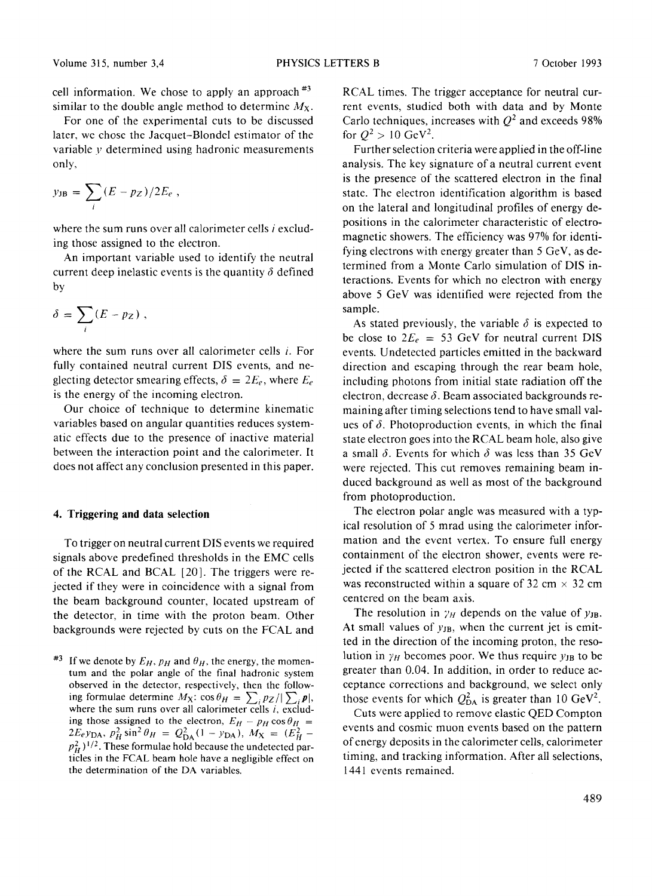cell information. We chose to apply an approach  $*3$ similar to the double angle method to determine  $M_{\rm X}$ .

For one of the experimental cuts to be discussed later, we chose the Jacquet-Blondel estimator of the variable y determined using hadronic measurements only,

$$
y_{\text{JB}} = \sum_{i} (E - pz)/2E_e ,
$$

where the sum runs over all calorimeter cells  $i$  excluding those assigned to the electron.

An important variable used to identify the neutral current deep inelastic events is the quantity  $\delta$  defined by

$$
\delta = \sum_i (E - pz) ,
$$

where the sum runs over all calorimeter cells *i*. For fully contained neutral current DIS events, and neglecting detector smearing effects,  $\delta = 2E_e$ , where  $E_e$ is the energy of the incoming electron.

Our choice of technique to determine kinematic variables based on angular quantities reduces systematic effects due to the presence of inactive material between the interaction point and the calorimeter. It does not affect any conclusion presented in this paper.

#### **4. Triggering and data selection**

To trigger on neutral current DIS events we required signals above predefined thresholds in the EMC cells of the RCAL and BCAL [20]. The triggers were rejected if they were in coincidence with a signal from the beam background counter, located upstream of the detector, in time with the proton beam. Other backgrounds were rejected by cuts on the FCAL and RCAL times. The trigger acceptance for neutral current events, studied both with data and by Monte Carlo techniques, increases with  $O^2$  and exceeds 98% for  $Q^2 > 10$  GeV<sup>2</sup>.

Further selection criteria were applied in the off-line analysis. The key signature of a neutral current event is the presence of the scattered electron in the final state. The electron identification algorithm is based on the lateral and longitudinal profiles of energy depositions in the calorimeter characteristic of electromagnetic showers. The efficiency was 97% for identifying electrons with energy greater than 5 GeV, as determined from a Monte Carlo simulation of DIS interactions. Events for which no electron with energy above 5 GeV was identified were rejected from the sample.

As stated previously, the variable  $\delta$  is expected to be close to  $2E_e = 53$  GeV for neutral current DIS events. Undetected particles emitted in the backward direction and escaping through the rear beam hole, including photons from initial state radiation off the electron, decrease  $\delta$ . Beam associated backgrounds remaining after timing selections tend to have small values of  $\delta$ . Photoproduction events, in which the final state electron goes into the RCAL beam hole, also give a small  $\delta$ . Events for which  $\delta$  was less than 35 GeV were rejected. This cut removes remaining beam induced background as well as most of the background from photoproduction.

The electron polar angle was measured with a typical resolution of 5 mrad using the calorimeter information and the event vertex. To ensure full energy containment of the electron shower, events were rejected if the scattered electron position in the RCAL was reconstructed within a square of 32 cm  $\times$  32 cm centered on the beam axis.

The resolution in  $\gamma_H$  depends on the value of  $y_{JB}$ . At small values of  $y_{JB}$ , when the current jet is emitted in the direction of the incoming proton, the resolution in  $\gamma_H$  becomes poor. We thus require  $\gamma_H$  to be greater than 0.04. In addition, in order to reduce acceptance corrections and background, we select only those events for which  $Q_{DA}^2$  is greater than 10 GeV<sup>2</sup>.

Cuts were applied to remove elastic QED Compton events and cosmic muon events based on the pattern of energy deposits in the calorimeter cells, calorimeter timing, and tracking information. After all selections, 1441 events remained.

<sup>&</sup>lt;sup>#3</sup> If we denote by  $E_H$ ,  $p_H$  and  $\theta_H$ , the energy, the momentum and the polar angle of the final hadronic system observed in the detector, respectively, then the following formulae determine  $M_X$ :  $\cos \theta_H = \sum_{i} p_Z / |\sum_{i} \mathbf{p}|,$ where the sum runs over all calorimeter cells  $i$ , excluding those assigned to the electron,  $E_H - p_H \cos \theta_H =$  $2E_e y_{\text{DA}}, p_H^2 \sin^2 \theta_H = Q_{\text{DA}}^2 (1 - y_{\text{DA}}), M_X = (E_H^2$  $p_H^2$ )<sup>1/2</sup>. These formulae hold because the undetected particles in the FCAL beam hole have a negligible effect on the determination of the DA variables.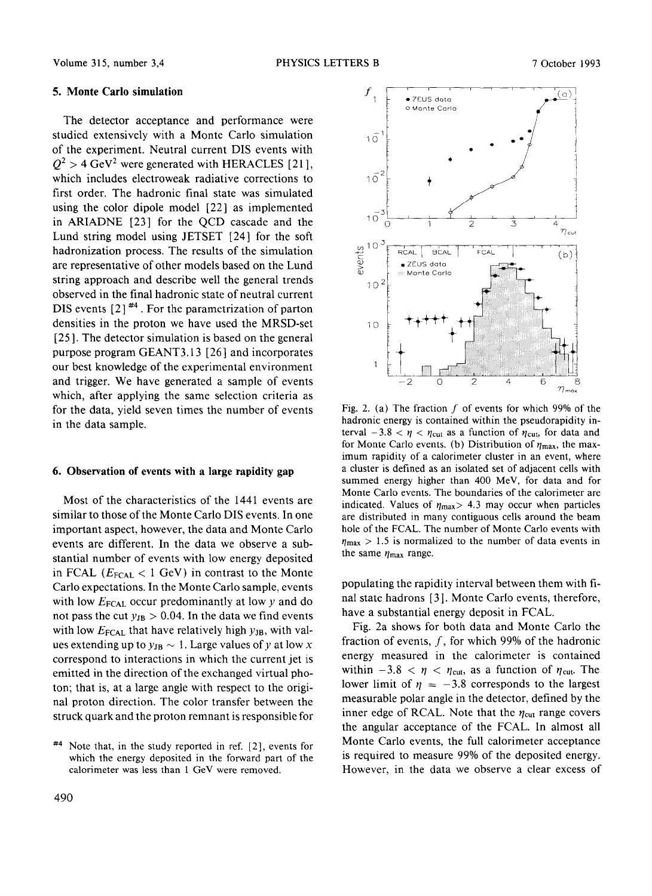#### **5. Monte Carlo simulation**

The detector acceptance and performance were studied extensively with a Monte Carlo simulation of the experiment. Neutral current DIS events with  $Q^2 > 4$  GeV<sup>2</sup> were generated with HERACLES [21], which includes electroweak radiative corrections to first order. The hadronic final state was simulated using the color dipole model [22] as implemented in ARIADNE [23] for the QCD cascade and the Lund string model using JETSET [24] for the soft hadronization process. The results of the simulation are representative of other models based on the Lund string approach and describe well the general trends observed in the final hadronic state of neutral current DIS events  $[2]$ <sup>#4</sup>. For the parametrization of parton densities in the proton we have used the MRSD-set [25]. The detector simulation is based on the general purpose program GEANT3.13 [26] and incorporates our best knowledge of the experimental environment and trigger. We have generated a sample of events which, after applying the same selection criteria as for the data, yield seven times the number of events in the data sample.

#### **6. Observation of events with a large rapidity gap**

Most of the characteristics of the 1441 events are similar to those of the Monte Carlo DIS events. In one important aspect, however, the data and Monte Carlo events are different. In the data we observe a substantial number of events with low energy deposited in FCAL ( $E_{\text{FCAL}} < 1$  GeV) in contrast to the Monte Carlo expectations. In the Monte Carlo sample, events with low  $E_{\text{FCAL}}$  occur predominantly at low y and do not pass the cut  $y_{JB} > 0.04$ . In the data we find events with low  $E_{\text{FCAL}}$  that have relatively high  $y_{\text{JB}}$ , with values extending up to  $y_{JB} \sim 1$ . Large values of y at low x correspond to interactions in which the current jet is emitted in the direction of the exchanged virtual photon; that is, at a large angle with respect to the original proton direction. The color transfer between the struck quark and the proton remnant is responsible for



Fig. 2. (a) The fraction  $f$  of events for which 99% of the hadronic energy is contained within the pseudorapidity interval  $-3.8 < \eta < \eta_{\text{cut}}$  as a function of  $\eta_{\text{cut}}$ , for data and for Monte Carlo events. (b) Distribution of  $\eta_{\text{max}}$ , the maximum rapidity of a calorimeter cluster in an event, where a cluster is defined as an isolated set of adjacent cells with summed energy higher than 400 MeV, for data and for Monte Carlo events. The boundaries of the calorimeter are indicated. Values of  $\eta_{\text{max}} > 4.3$  may occur when particles are distributed in many contiguous cells around the beam hole of the FCAL. The number of Monte Carlo events with  $\eta_{\text{max}} > 1.5$  is normalized to the number of data events in the same  $\eta_{\text{max}}$  range.

populating the rapidity interval between them with final state hadrons [3]. Monte Carlo events, therefore, have a substantial energy deposit in FCAL.

Fig. 2a shows for both data and Monte Carlo the fraction of events,  $f$ , for which 99% of the hadronic energy measured in the calorimeter is contained within  $-3.8 < \eta < \eta_{\text{cut}}$ , as a function of  $\eta_{\text{cut}}$ . The lower limit of  $\eta = -3.8$  corresponds to the largest measurable polar angle in the detector, defined by the inner edge of RCAL. Note that the  $\eta_{\text{cut}}$  range covers the angular acceptance of the FCAL. In almost all Monte Carlo events, the full calorimeter acceptance is required to measure 99% of the deposited energy. However, in the data we observe a clear excess of

 $#4$  Note that, in the study reported in ref. [2], events for which the energy deposited in the forward part of the calorimeter was less than 1 GeV were removed.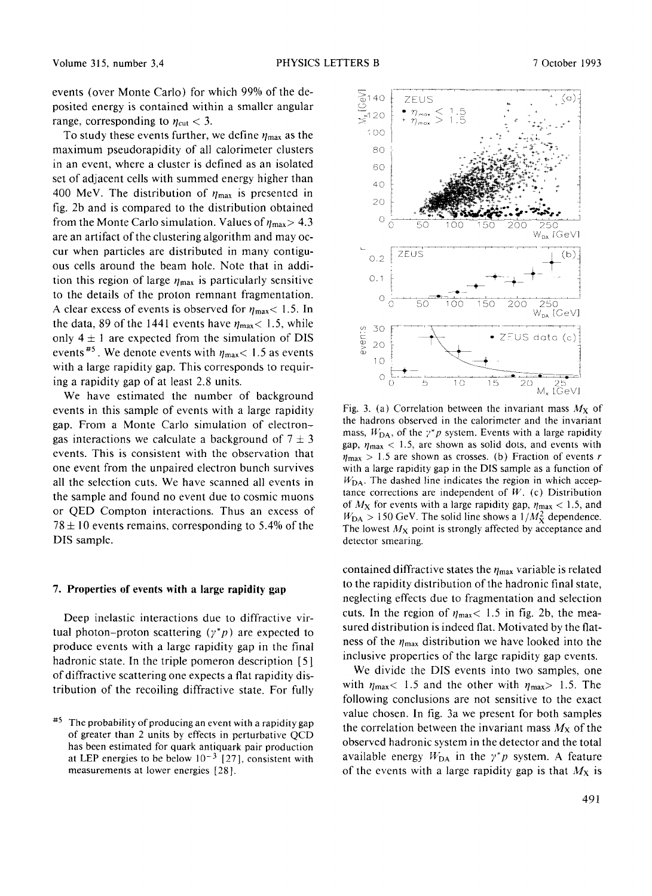events (over Monte Carlo) for which 99% of the deposited energy is contained within a smaller angular range, corresponding to  $\eta_{\text{cut}} < 3$ .

To study these events further, we define  $\eta_{\text{max}}$  as the maximum pseudorapidity of all calorimeter clusters in an event, where a cluster is defined as an isolated set of adjacent cells with summed energy higher than 400 MeV. The distribution of  $\eta_{\text{max}}$  is presented in fig. 2b and is compared to the distribution obtained from the Monte Carlo simulation. Values of  $\eta_{\text{max}} > 4.3$ are an artifact of the clustering algorithm and may occur when particles are distributed in many contiguous cells around the beam hole. Note that in addition this region of large  $n_{\text{max}}$  is particularly sensitive to the details of the proton remnant fragmentation. A clear excess of events is observed for  $\eta_{\text{max}}$  < 1.5. In the data, 89 of the 1441 events have  $\eta_{\text{max}}$  < 1.5, while only  $4 \pm 1$  are expected from the simulation of DIS events<sup>#5</sup>. We denote events with  $\eta_{\text{max}}$  < 1.5 as events with a large rapidity gap. This corresponds to requiring a rapidity gap of at least 2.8 units.

We have estimated the number of background events in this sample of events with a large rapidity gap. From a Monte Carlo simulation of electrongas interactions we calculate a background of  $7 \pm 3$ events. This is consistent with the observation that one event from the unpaired electron bunch survives all the selection cuts. We have scanned all events in the sample and found no event due to cosmic muons or QED Compton interactions. Thus an excess of  $78 \pm 10$  events remains, corresponding to 5.4% of the DIS sample.

#### **7. Properties of events with a large rapidity gap**

Deep inelastic interactions due to diffractive virtual photon-proton scattering  $(\gamma^* p)$  are expected to produce events with a large rapidity gap in the final hadronic state. In the triple pomeron description [5] of diffractive scattering one expects a flat rapidity distribution of the recoiling diffractive state. For fully



Fig. 3. (a) Correlation between the invariant mass  $M_X$  of the hadrons observed in the calorimeter and the invariant mass,  $W_{DA}$ , of the  $\gamma^*p$  system. Events with a large rapidity gap,  $\eta_{\text{max}}$  < 1.5, are shown as solid dots, and events with  $\eta_{\text{max}} > 1.5$  are shown as crosses. (b) Fraction of events r with a large rapidity gap in the DIS sample as a function of  $W<sub>DA</sub>$ . The dashed line indicates the region in which acceptance corrections are independent of  $W$ . (c) Distribution of  $M_X$  for events with a large rapidity gap,  $\eta_{\text{max}} < 1.5$ , and  $W_{\text{DA}} > 150 \text{ GeV}$ . The solid line shows a  $1/M_{\text{X}}^2$  dependence. The lowest  $M_X$  point is strongly affected by acceptance and detector smearing.

contained diffractive states the  $\eta_{\text{max}}$  variable is related to the rapidity distribution of the hadronic final state, neglecting effects due to fragmentation and selection cuts. In the region of  $\eta_{\text{max}}$  < 1.5 in fig. 2b, the measured distribution is indeed fiat. Motivated by the flatness of the  $\eta_{\text{max}}$  distribution we have looked into the inclusive properties of the large rapidity gap events.

We divide the DIS events into two samples, one with  $\eta_{\text{max}}$  = 1.5 and the other with  $\eta_{\text{max}}$  = 1.5. The following conclusions are not sensitive to the exact value chosen. In fig. 3a we present for both samples the correlation between the invariant mass  $M_X$  of the observed hadronic system in the detector and the total available energy  $W_{DA}$  in the  $\gamma^*p$  system. A feature of the events with a large rapidity gap is that  $M_X$  is

<sup>&</sup>lt;sup>#5</sup> The probability of producing an event with a rapidity gap of greater than 2 units by effects in perturbative QCD has been estimated for quark antiquark pair production at LEP energies to be below  $10^{-3}$  [27], consistent with measurements at lower energies [28].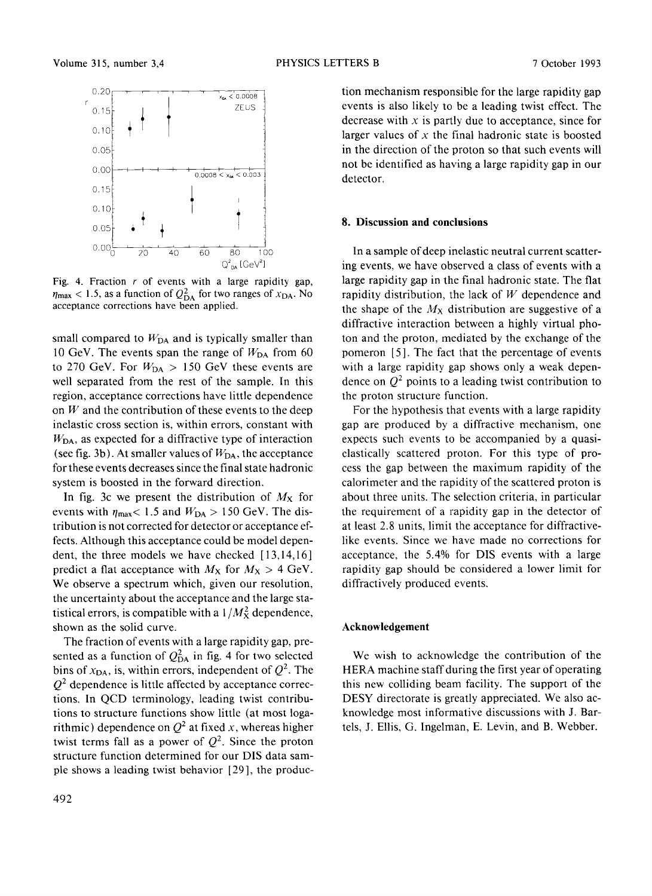

Fig. 4. Fraction  $r$  of events with a large rapidity gap,  $\eta_{\text{max}}$  < 1.5, as a function of  $Q_{\text{DA}}^2$  for two ranges of  $x_{\text{DA}}$ . No acceptance corrections have been applied.

small compared to  $W_{DA}$  and is typically smaller than 10 GeV. The events span the range of  $W_{DA}$  from 60 to 270 GeV. For  $W_{DA} > 150$  GeV these events are well separated from the rest of the sample. In this region, acceptance corrections have little dependence on  $W$  and the contribution of these events to the deep inelastic cross section is, within errors, constant with  $W<sub>DA</sub>$ , as expected for a diffractive type of interaction (see fig. 3b). At smaller values of  $W_{DA}$ , the acceptance for these events decreases since the final state hadronic system is boosted in the forward direction.

In fig. 3c we present the distribution of  $M_X$  for events with  $\eta_{\text{max}}$  < 1.5 and  $W_{\text{DA}} > 150$  GeV. The distribution is not corrected for detector or acceptance effects. Although this acceptance could be model dependent, the three models we have checked  $[13,14,16]$ predict a flat acceptance with  $M_X$  for  $M_X > 4$  GeV. We observe a spectrum which, given our resolution, the uncertainty about the acceptance and the large statistical errors, is compatible with a  $1/M_{\rm X}^2$  dependence, shown as the solid curve.

The fraction of events with a large rapidity gap, presented as a function of  $Q_{DA}^2$  in fig. 4 for two selected bins of  $x_{DA}$ , is, within errors, independent of  $Q^2$ . The  $Q<sup>2</sup>$  dependence is little affected by acceptance corrections. In QCD terminology, leading twist contributions to structure functions show little (at most logarithmic) dependence on  $Q^2$  at fixed x, whereas higher twist terms fall as a power of  $Q^2$ . Since the proton structure function determined for our DIS data sample shows a leading twist behavior [29], the producevents is also likely to be a leading twist effect. The decrease with  $x$  is partly due to acceptance, since for larger values of  $x$  the final hadronic state is boosted in the direction of the proton so that such events will not be identified as having a large rapidity gap in our detector.

tion mechanism responsible for the large rapidity gap

#### **8. Discussion and conclusions**

In a sample of deep inelastic neutral current scattering events, we have observed a class of events with a large rapidity gap in the final hadronic state. The flat rapidity distribution, the lack of  $W$  dependence and the shape of the  $M_X$  distribution are suggestive of a diffractive interaction between a highly virtual photon and the proton, mediated by the exchange of the pomeron [5 ]. The fact that the percentage of events with a large rapidity gap shows only a weak dependence on  $Q^2$  points to a leading twist contribution to the proton structure function.

For the hypothesis that events with a large rapidity gap are produced by a diffractive mechanism, one expects such events to be accompanied by a quasielastically scattered proton. For this type of process the gap between the maximum rapidity of the calorimeter and the rapidity of the scattered proton is about three units. The selection criteria, in particular the requirement of a rapidity gap in the detector of at least 2.8 units, limit the acceptance for diffractivelike events. Since we have made no corrections for acceptance, the 5.4% for DIS events with a large rapidity gap should be considered a lower limit for diffractively produced events.

#### **Acknowledgement**

We wish to acknowledge the contribution of the HERA machine staff during the first year of operating this new colliding beam facility. The support of the DESY directorate is greatly appreciated. We also acknowledge most informative discussions with J. Bartels, J. Ellis, G. Ingelman, E. Levin, and B. Webber.